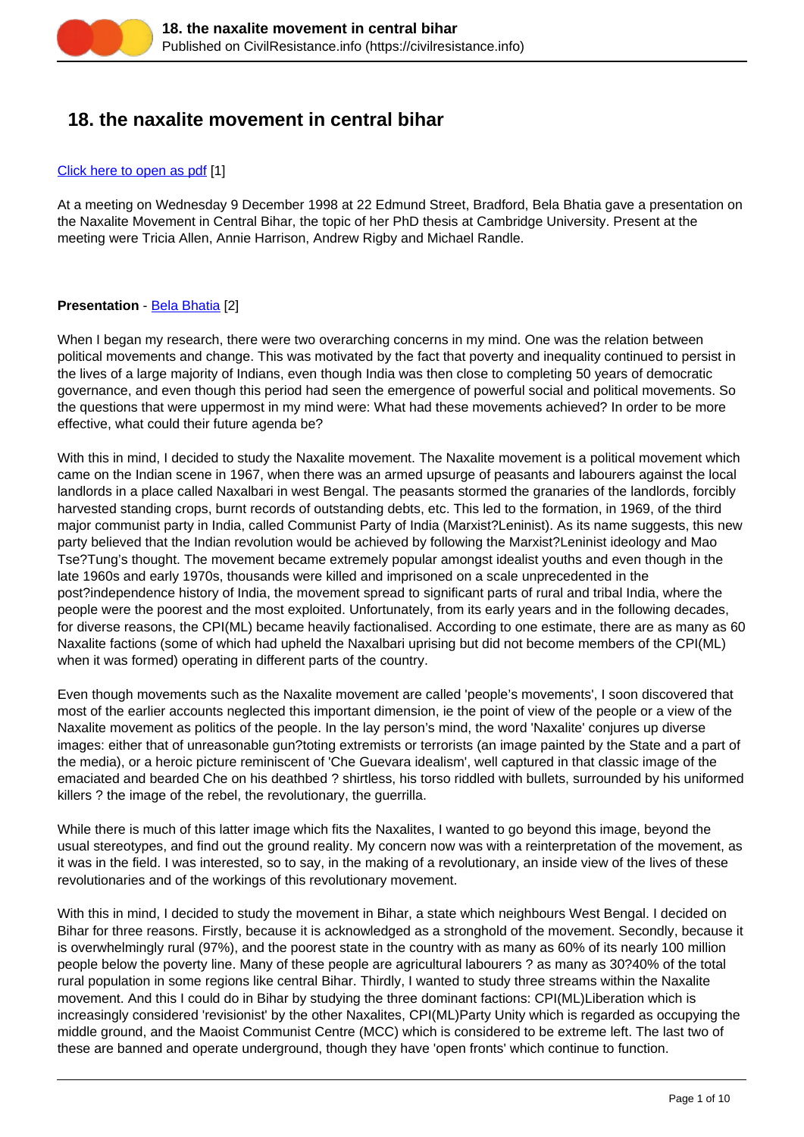# **18. the naxalite movement in central bihar**

#### [Click here to open as pdf](https://civilresistance.info/sites/default/files/18-naxa.pdf) [1]

At a meeting on Wednesday 9 December 1998 at 22 Edmund Street, Bradford, Bela Bhatia gave a presentation on the Naxalite Movement in Central Bihar, the topic of her PhD thesis at Cambridge University. Present at the meeting were Tricia Allen, Annie Harrison, Andrew Rigby and Michael Randle.

## **Presentation** - [Bela Bhatia](https://civilresistance.info/challenge/preface#Bela) [2]

When I began my research, there were two overarching concerns in my mind. One was the relation between political movements and change. This was motivated by the fact that poverty and inequality continued to persist in the lives of a large majority of Indians, even though India was then close to completing 50 years of democratic governance, and even though this period had seen the emergence of powerful social and political movements. So the questions that were uppermost in my mind were: What had these movements achieved? In order to be more effective, what could their future agenda be?

With this in mind, I decided to study the Naxalite movement. The Naxalite movement is a political movement which came on the Indian scene in 1967, when there was an armed upsurge of peasants and labourers against the local landlords in a place called Naxalbari in west Bengal. The peasants stormed the granaries of the landlords, forcibly harvested standing crops, burnt records of outstanding debts, etc. This led to the formation, in 1969, of the third major communist party in India, called Communist Party of India (Marxist?Leninist). As its name suggests, this new party believed that the Indian revolution would be achieved by following the Marxist?Leninist ideology and Mao Tse?Tung's thought. The movement became extremely popular amongst idealist youths and even though in the late 1960s and early 1970s, thousands were killed and imprisoned on a scale unprecedented in the post?independence history of India, the movement spread to significant parts of rural and tribal India, where the people were the poorest and the most exploited. Unfortunately, from its early years and in the following decades, for diverse reasons, the CPI(ML) became heavily factionalised. According to one estimate, there are as many as 60 Naxalite factions (some of which had upheld the Naxalbari uprising but did not become members of the CPI(ML) when it was formed) operating in different parts of the country.

Even though movements such as the Naxalite movement are called 'people's movements', I soon discovered that most of the earlier accounts neglected this important dimension, ie the point of view of the people or a view of the Naxalite movement as politics of the people. In the lay person's mind, the word 'Naxalite' conjures up diverse images: either that of unreasonable gun?toting extremists or terrorists (an image painted by the State and a part of the media), or a heroic picture reminiscent of 'Che Guevara idealism', well captured in that classic image of the emaciated and bearded Che on his deathbed ? shirtless, his torso riddled with bullets, surrounded by his uniformed killers ? the image of the rebel, the revolutionary, the guerrilla.

While there is much of this latter image which fits the Naxalites, I wanted to go beyond this image, beyond the usual stereotypes, and find out the ground reality. My concern now was with a reinterpretation of the movement, as it was in the field. I was interested, so to say, in the making of a revolutionary, an inside view of the lives of these revolutionaries and of the workings of this revolutionary movement.

With this in mind, I decided to study the movement in Bihar, a state which neighbours West Bengal. I decided on Bihar for three reasons. Firstly, because it is acknowledged as a stronghold of the movement. Secondly, because it is overwhelmingly rural (97%), and the poorest state in the country with as many as 60% of its nearly 100 million people below the poverty line. Many of these people are agricultural labourers ? as many as 30?40% of the total rural population in some regions like central Bihar. Thirdly, I wanted to study three streams within the Naxalite movement. And this I could do in Bihar by studying the three dominant factions: CPI(ML)Liberation which is increasingly considered 'revisionist' by the other Naxalites, CPI(ML)Party Unity which is regarded as occupying the middle ground, and the Maoist Communist Centre (MCC) which is considered to be extreme left. The last two of these are banned and operate underground, though they have 'open fronts' which continue to function.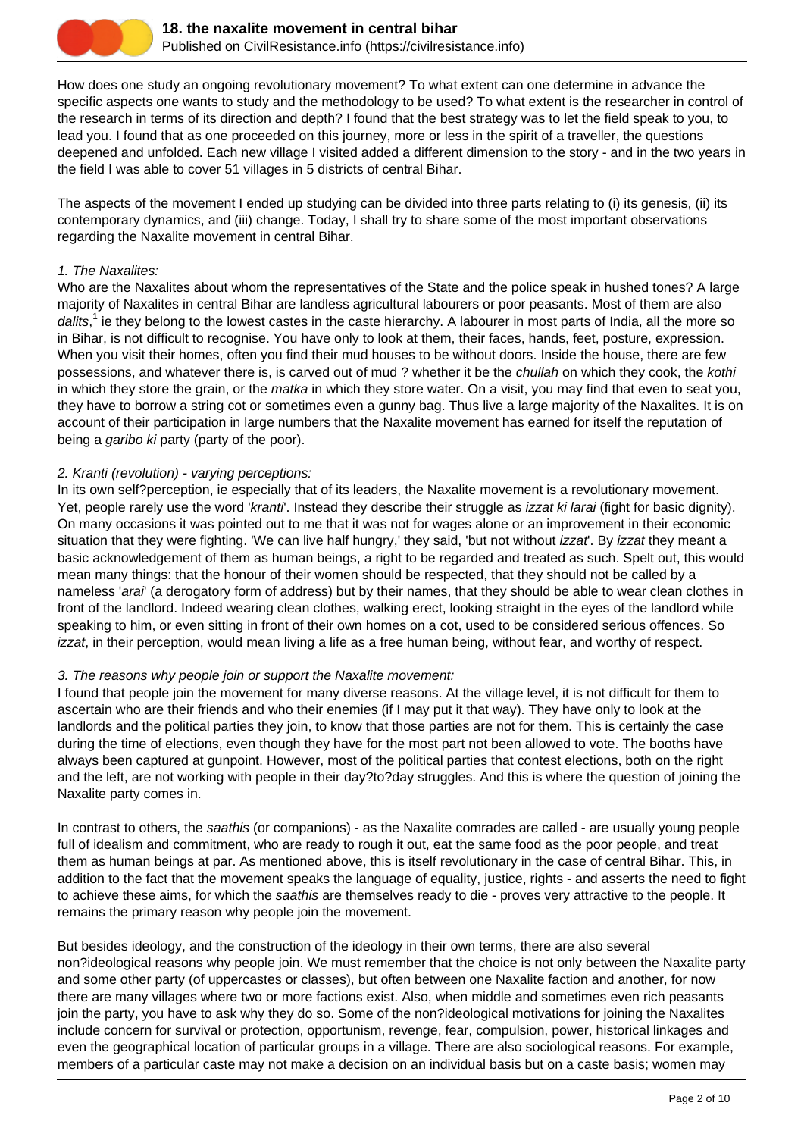

How does one study an ongoing revolutionary movement? To what extent can one determine in advance the specific aspects one wants to study and the methodology to be used? To what extent is the researcher in control of the research in terms of its direction and depth? I found that the best strategy was to let the field speak to you, to lead you. I found that as one proceeded on this journey, more or less in the spirit of a traveller, the questions deepened and unfolded. Each new village I visited added a different dimension to the story - and in the two years in the field I was able to cover 51 villages in 5 districts of central Bihar.

The aspects of the movement I ended up studying can be divided into three parts relating to (i) its genesis, (ii) its contemporary dynamics, and (iii) change. Today, I shall try to share some of the most important observations regarding the Naxalite movement in central Bihar.

#### 1. The Naxalites:

Who are the Naxalites about whom the representatives of the State and the police speak in hushed tones? A large majority of Naxalites in central Bihar are landless agricultural labourers or poor peasants. Most of them are also dalits,<sup>1</sup> ie they belong to the lowest castes in the caste hierarchy. A labourer in most parts of India, all the more so in Bihar, is not difficult to recognise. You have only to look at them, their faces, hands, feet, posture, expression. When you visit their homes, often you find their mud houses to be without doors. Inside the house, there are few possessions, and whatever there is, is carved out of mud ? whether it be the *chullah* on which they cook, the *kothi* in which they store the grain, or the *matka* in which they store water. On a visit, you may find that even to seat you, they have to borrow a string cot or sometimes even a gunny bag. Thus live a large majority of the Naxalites. It is on account of their participation in large numbers that the Naxalite movement has earned for itself the reputation of being a garibo ki party (party of the poor).

## 2. Kranti (revolution) - varying perceptions:

In its own self?perception, ie especially that of its leaders, the Naxalite movement is a revolutionary movement. Yet, people rarely use the word 'kranti'. Instead they describe their struggle as *izzat ki larai* (fight for basic dignity). On many occasions it was pointed out to me that it was not for wages alone or an improvement in their economic situation that they were fighting. 'We can live half hungry,' they said, 'but not without *izzat*'. By *izzat* they meant a basic acknowledgement of them as human beings, a right to be regarded and treated as such. Spelt out, this would mean many things: that the honour of their women should be respected, that they should not be called by a nameless 'arai' (a derogatory form of address) but by their names, that they should be able to wear clean clothes in front of the landlord. Indeed wearing clean clothes, walking erect, looking straight in the eyes of the landlord while speaking to him, or even sitting in front of their own homes on a cot, used to be considered serious offences. So izzat, in their perception, would mean living a life as a free human being, without fear, and worthy of respect.

## 3. The reasons why people join or support the Naxalite movement:

I found that people join the movement for many diverse reasons. At the village level, it is not difficult for them to ascertain who are their friends and who their enemies (if I may put it that way). They have only to look at the landlords and the political parties they join, to know that those parties are not for them. This is certainly the case during the time of elections, even though they have for the most part not been allowed to vote. The booths have always been captured at gunpoint. However, most of the political parties that contest elections, both on the right and the left, are not working with people in their day?to?day struggles. And this is where the question of joining the Naxalite party comes in.

In contrast to others, the saathis (or companions) - as the Naxalite comrades are called - are usually young people full of idealism and commitment, who are ready to rough it out, eat the same food as the poor people, and treat them as human beings at par. As mentioned above, this is itself revolutionary in the case of central Bihar. This, in addition to the fact that the movement speaks the language of equality, justice, rights - and asserts the need to fight to achieve these aims, for which the saathis are themselves ready to die - proves very attractive to the people. It remains the primary reason why people join the movement.

But besides ideology, and the construction of the ideology in their own terms, there are also several non?ideological reasons why people join. We must remember that the choice is not only between the Naxalite party and some other party (of uppercastes or classes), but often between one Naxalite faction and another, for now there are many villages where two or more factions exist. Also, when middle and sometimes even rich peasants join the party, you have to ask why they do so. Some of the non?ideological motivations for joining the Naxalites include concern for survival or protection, opportunism, revenge, fear, compulsion, power, historical linkages and even the geographical location of particular groups in a village. There are also sociological reasons. For example, members of a particular caste may not make a decision on an individual basis but on a caste basis; women may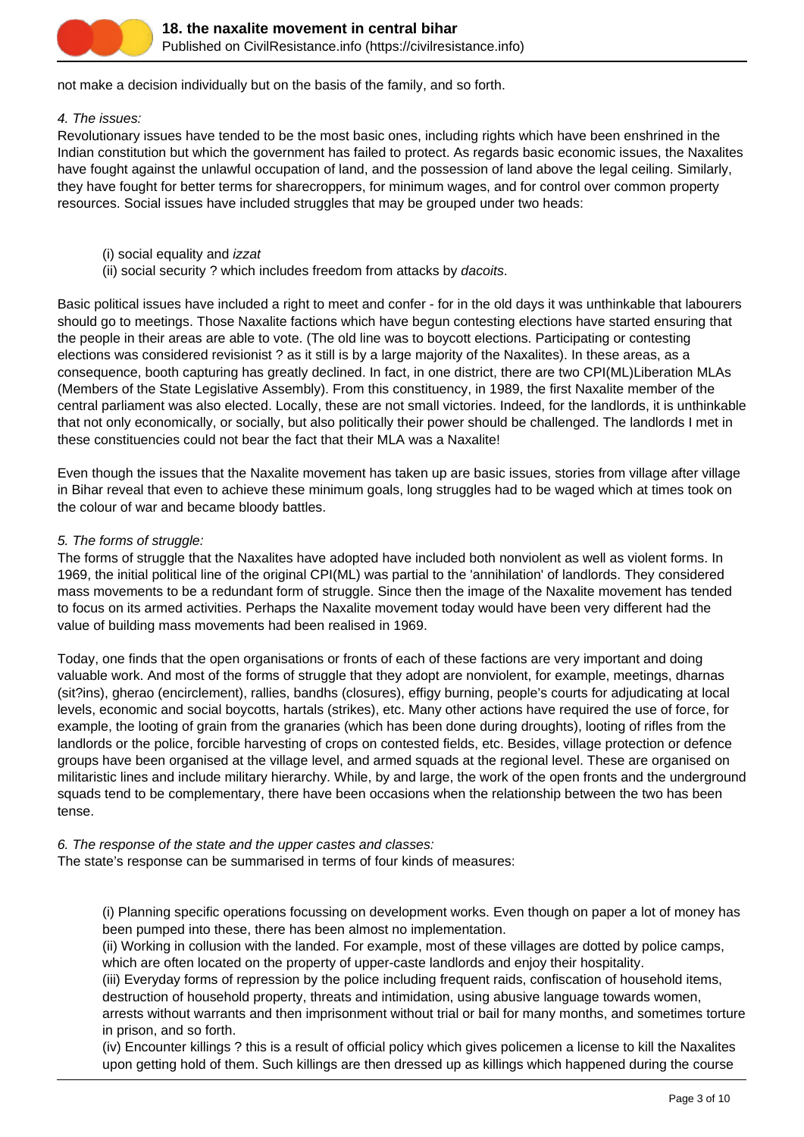

not make a decision individually but on the basis of the family, and so forth.

#### 4. The issues:

Revolutionary issues have tended to be the most basic ones, including rights which have been enshrined in the Indian constitution but which the government has failed to protect. As regards basic economic issues, the Naxalites have fought against the unlawful occupation of land, and the possession of land above the legal ceiling. Similarly, they have fought for better terms for sharecroppers, for minimum wages, and for control over common property resources. Social issues have included struggles that may be grouped under two heads:

- (i) social equality and izzat
- (ii) social security ? which includes freedom from attacks by dacoits.

Basic political issues have included a right to meet and confer - for in the old days it was unthinkable that labourers should go to meetings. Those Naxalite factions which have begun contesting elections have started ensuring that the people in their areas are able to vote. (The old line was to boycott elections. Participating or contesting elections was considered revisionist ? as it still is by a large majority of the Naxalites). In these areas, as a consequence, booth capturing has greatly declined. In fact, in one district, there are two CPI(ML)Liberation MLAs (Members of the State Legislative Assembly). From this constituency, in 1989, the first Naxalite member of the central parliament was also elected. Locally, these are not small victories. Indeed, for the landlords, it is unthinkable that not only economically, or socially, but also politically their power should be challenged. The landlords I met in these constituencies could not bear the fact that their MLA was a Naxalite!

Even though the issues that the Naxalite movement has taken up are basic issues, stories from village after village in Bihar reveal that even to achieve these minimum goals, long struggles had to be waged which at times took on the colour of war and became bloody battles.

#### 5. The forms of struggle:

The forms of struggle that the Naxalites have adopted have included both nonviolent as well as violent forms. In 1969, the initial political line of the original CPI(ML) was partial to the 'annihilation' of landlords. They considered mass movements to be a redundant form of struggle. Since then the image of the Naxalite movement has tended to focus on its armed activities. Perhaps the Naxalite movement today would have been very different had the value of building mass movements had been realised in 1969.

Today, one finds that the open organisations or fronts of each of these factions are very important and doing valuable work. And most of the forms of struggle that they adopt are nonviolent, for example, meetings, dharnas (sit?ins), gherao (encirclement), rallies, bandhs (closures), effigy burning, people's courts for adjudicating at local levels, economic and social boycotts, hartals (strikes), etc. Many other actions have required the use of force, for example, the looting of grain from the granaries (which has been done during droughts), looting of rifles from the landlords or the police, forcible harvesting of crops on contested fields, etc. Besides, village protection or defence groups have been organised at the village level, and armed squads at the regional level. These are organised on militaristic lines and include military hierarchy. While, by and large, the work of the open fronts and the underground squads tend to be complementary, there have been occasions when the relationship between the two has been tense.

#### 6. The response of the state and the upper castes and classes:

The state's response can be summarised in terms of four kinds of measures:

(i) Planning specific operations focussing on development works. Even though on paper a lot of money has been pumped into these, there has been almost no implementation.

(ii) Working in collusion with the landed. For example, most of these villages are dotted by police camps, which are often located on the property of upper-caste landlords and enjoy their hospitality.

(iii) Everyday forms of repression by the police including frequent raids, confiscation of household items, destruction of household property, threats and intimidation, using abusive language towards women,

arrests without warrants and then imprisonment without trial or bail for many months, and sometimes torture in prison, and so forth.

(iv) Encounter killings ? this is a result of official policy which gives policemen a license to kill the Naxalites upon getting hold of them. Such killings are then dressed up as killings which happened during the course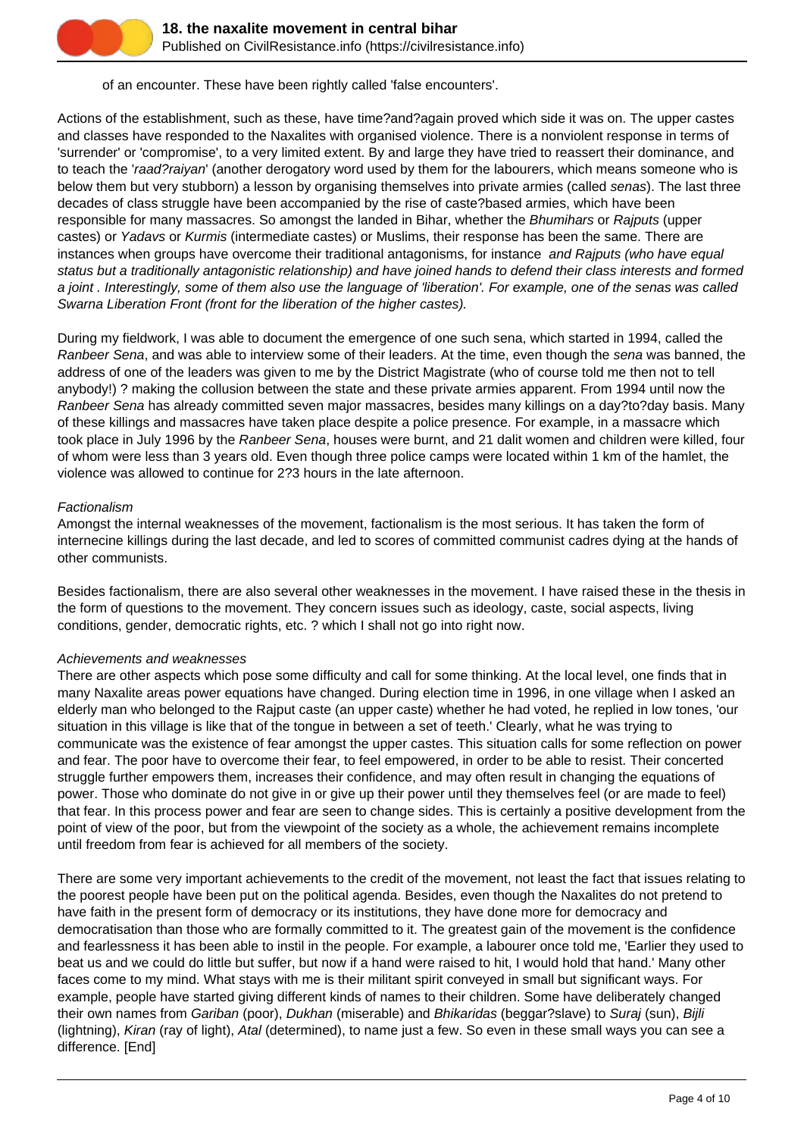

## of an encounter. These have been rightly called 'false encounters'.

Actions of the establishment, such as these, have time?and?again proved which side it was on. The upper castes and classes have responded to the Naxalites with organised violence. There is a nonviolent response in terms of 'surrender' or 'compromise', to a very limited extent. By and large they have tried to reassert their dominance, and to teach the 'raad?raiyan' (another derogatory word used by them for the labourers, which means someone who is below them but very stubborn) a lesson by organising themselves into private armies (called senas). The last three decades of class struggle have been accompanied by the rise of caste?based armies, which have been responsible for many massacres. So amongst the landed in Bihar, whether the Bhumihars or Rajputs (upper castes) or Yadavs or Kurmis (intermediate castes) or Muslims, their response has been the same. There are instances when groups have overcome their traditional antagonisms, for instance and Rajputs (who have equal status but a traditionally antagonistic relationship) and have joined hands to defend their class interests and formed a joint . Interestingly, some of them also use the language of 'liberation'. For example, one of the senas was called Swarna Liberation Front (front for the liberation of the higher castes).

During my fieldwork, I was able to document the emergence of one such sena, which started in 1994, called the Ranbeer Sena, and was able to interview some of their leaders. At the time, even though the sena was banned, the address of one of the leaders was given to me by the District Magistrate (who of course told me then not to tell anybody!) ? making the collusion between the state and these private armies apparent. From 1994 until now the Ranbeer Sena has already committed seven major massacres, besides many killings on a day?to?day basis. Many of these killings and massacres have taken place despite a police presence. For example, in a massacre which took place in July 1996 by the Ranbeer Sena, houses were burnt, and 21 dalit women and children were killed, four of whom were less than 3 years old. Even though three police camps were located within 1 km of the hamlet, the violence was allowed to continue for 2?3 hours in the late afternoon.

#### **Factionalism**

Amongst the internal weaknesses of the movement, factionalism is the most serious. It has taken the form of internecine killings during the last decade, and led to scores of committed communist cadres dying at the hands of other communists.

Besides factionalism, there are also several other weaknesses in the movement. I have raised these in the thesis in the form of questions to the movement. They concern issues such as ideology, caste, social aspects, living conditions, gender, democratic rights, etc. ? which I shall not go into right now.

## Achievements and weaknesses

There are other aspects which pose some difficulty and call for some thinking. At the local level, one finds that in many Naxalite areas power equations have changed. During election time in 1996, in one village when I asked an elderly man who belonged to the Rajput caste (an upper caste) whether he had voted, he replied in low tones, 'our situation in this village is like that of the tongue in between a set of teeth.' Clearly, what he was trying to communicate was the existence of fear amongst the upper castes. This situation calls for some reflection on power and fear. The poor have to overcome their fear, to feel empowered, in order to be able to resist. Their concerted struggle further empowers them, increases their confidence, and may often result in changing the equations of power. Those who dominate do not give in or give up their power until they themselves feel (or are made to feel) that fear. In this process power and fear are seen to change sides. This is certainly a positive development from the point of view of the poor, but from the viewpoint of the society as a whole, the achievement remains incomplete until freedom from fear is achieved for all members of the society.

There are some very important achievements to the credit of the movement, not least the fact that issues relating to the poorest people have been put on the political agenda. Besides, even though the Naxalites do not pretend to have faith in the present form of democracy or its institutions, they have done more for democracy and democratisation than those who are formally committed to it. The greatest gain of the movement is the confidence and fearlessness it has been able to instil in the people. For example, a labourer once told me, 'Earlier they used to beat us and we could do little but suffer, but now if a hand were raised to hit, I would hold that hand.' Many other faces come to my mind. What stays with me is their militant spirit conveyed in small but significant ways. For example, people have started giving different kinds of names to their children. Some have deliberately changed their own names from Gariban (poor), Dukhan (miserable) and Bhikaridas (beggar?slave) to Suraj (sun), Bijli (lightning), Kiran (ray of light), Atal (determined), to name just a few. So even in these small ways you can see a difference. [End]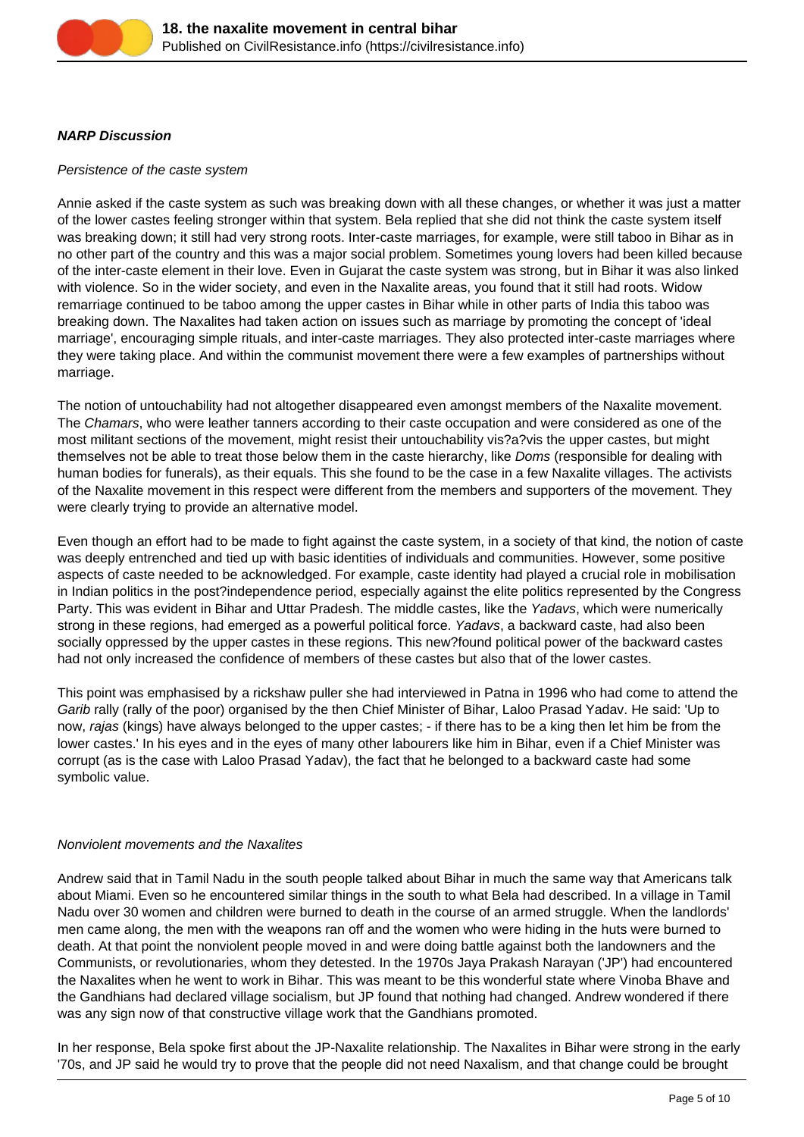

## **NARP Discussion**

## Persistence of the caste system

Annie asked if the caste system as such was breaking down with all these changes, or whether it was just a matter of the lower castes feeling stronger within that system. Bela replied that she did not think the caste system itself was breaking down; it still had very strong roots. Inter-caste marriages, for example, were still taboo in Bihar as in no other part of the country and this was a major social problem. Sometimes young lovers had been killed because of the inter-caste element in their love. Even in Gujarat the caste system was strong, but in Bihar it was also linked with violence. So in the wider society, and even in the Naxalite areas, you found that it still had roots. Widow remarriage continued to be taboo among the upper castes in Bihar while in other parts of India this taboo was breaking down. The Naxalites had taken action on issues such as marriage by promoting the concept of 'ideal marriage', encouraging simple rituals, and inter-caste marriages. They also protected inter-caste marriages where they were taking place. And within the communist movement there were a few examples of partnerships without marriage.

The notion of untouchability had not altogether disappeared even amongst members of the Naxalite movement. The Chamars, who were leather tanners according to their caste occupation and were considered as one of the most militant sections of the movement, might resist their untouchability vis?a?vis the upper castes, but might themselves not be able to treat those below them in the caste hierarchy, like Doms (responsible for dealing with human bodies for funerals), as their equals. This she found to be the case in a few Naxalite villages. The activists of the Naxalite movement in this respect were different from the members and supporters of the movement. They were clearly trying to provide an alternative model.

Even though an effort had to be made to fight against the caste system, in a society of that kind, the notion of caste was deeply entrenched and tied up with basic identities of individuals and communities. However, some positive aspects of caste needed to be acknowledged. For example, caste identity had played a crucial role in mobilisation in Indian politics in the post?independence period, especially against the elite politics represented by the Congress Party. This was evident in Bihar and Uttar Pradesh. The middle castes, like the Yadavs, which were numerically strong in these regions, had emerged as a powerful political force. Yadavs, a backward caste, had also been socially oppressed by the upper castes in these regions. This new?found political power of the backward castes had not only increased the confidence of members of these castes but also that of the lower castes.

This point was emphasised by a rickshaw puller she had interviewed in Patna in 1996 who had come to attend the Garib rally (rally of the poor) organised by the then Chief Minister of Bihar, Laloo Prasad Yadav. He said: 'Up to now, rajas (kings) have always belonged to the upper castes; - if there has to be a king then let him be from the lower castes.' In his eyes and in the eyes of many other labourers like him in Bihar, even if a Chief Minister was corrupt (as is the case with Laloo Prasad Yadav), the fact that he belonged to a backward caste had some symbolic value.

## Nonviolent movements and the Naxalites

Andrew said that in Tamil Nadu in the south people talked about Bihar in much the same way that Americans talk about Miami. Even so he encountered similar things in the south to what Bela had described. In a village in Tamil Nadu over 30 women and children were burned to death in the course of an armed struggle. When the landlords' men came along, the men with the weapons ran off and the women who were hiding in the huts were burned to death. At that point the nonviolent people moved in and were doing battle against both the landowners and the Communists, or revolutionaries, whom they detested. In the 1970s Jaya Prakash Narayan ('JP') had encountered the Naxalites when he went to work in Bihar. This was meant to be this wonderful state where Vinoba Bhave and the Gandhians had declared village socialism, but JP found that nothing had changed. Andrew wondered if there was any sign now of that constructive village work that the Gandhians promoted.

In her response, Bela spoke first about the JP-Naxalite relationship. The Naxalites in Bihar were strong in the early '70s, and JP said he would try to prove that the people did not need Naxalism, and that change could be brought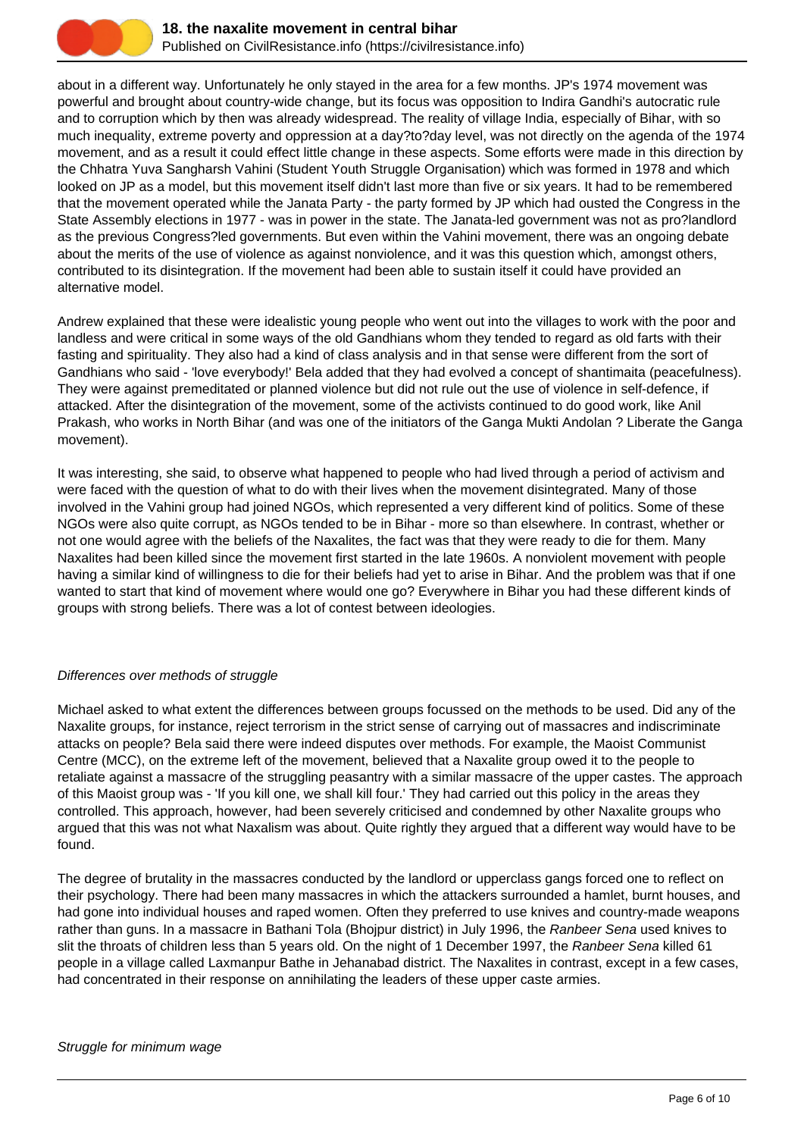

about in a different way. Unfortunately he only stayed in the area for a few months. JP's 1974 movement was powerful and brought about country-wide change, but its focus was opposition to Indira Gandhi's autocratic rule and to corruption which by then was already widespread. The reality of village India, especially of Bihar, with so much inequality, extreme poverty and oppression at a day?to?day level, was not directly on the agenda of the 1974 movement, and as a result it could effect little change in these aspects. Some efforts were made in this direction by the Chhatra Yuva Sangharsh Vahini (Student Youth Struggle Organisation) which was formed in 1978 and which looked on JP as a model, but this movement itself didn't last more than five or six years. It had to be remembered that the movement operated while the Janata Party - the party formed by JP which had ousted the Congress in the State Assembly elections in 1977 - was in power in the state. The Janata-led government was not as pro?landlord as the previous Congress?led governments. But even within the Vahini movement, there was an ongoing debate about the merits of the use of violence as against nonviolence, and it was this question which, amongst others, contributed to its disintegration. If the movement had been able to sustain itself it could have provided an alternative model.

Andrew explained that these were idealistic young people who went out into the villages to work with the poor and landless and were critical in some ways of the old Gandhians whom they tended to regard as old farts with their fasting and spirituality. They also had a kind of class analysis and in that sense were different from the sort of Gandhians who said - 'love everybody!' Bela added that they had evolved a concept of shantimaita (peacefulness). They were against premeditated or planned violence but did not rule out the use of violence in self-defence, if attacked. After the disintegration of the movement, some of the activists continued to do good work, like Anil Prakash, who works in North Bihar (and was one of the initiators of the Ganga Mukti Andolan ? Liberate the Ganga movement).

It was interesting, she said, to observe what happened to people who had lived through a period of activism and were faced with the question of what to do with their lives when the movement disintegrated. Many of those involved in the Vahini group had joined NGOs, which represented a very different kind of politics. Some of these NGOs were also quite corrupt, as NGOs tended to be in Bihar - more so than elsewhere. In contrast, whether or not one would agree with the beliefs of the Naxalites, the fact was that they were ready to die for them. Many Naxalites had been killed since the movement first started in the late 1960s. A nonviolent movement with people having a similar kind of willingness to die for their beliefs had yet to arise in Bihar. And the problem was that if one wanted to start that kind of movement where would one go? Everywhere in Bihar you had these different kinds of groups with strong beliefs. There was a lot of contest between ideologies.

## Differences over methods of struggle

Michael asked to what extent the differences between groups focussed on the methods to be used. Did any of the Naxalite groups, for instance, reject terrorism in the strict sense of carrying out of massacres and indiscriminate attacks on people? Bela said there were indeed disputes over methods. For example, the Maoist Communist Centre (MCC), on the extreme left of the movement, believed that a Naxalite group owed it to the people to retaliate against a massacre of the struggling peasantry with a similar massacre of the upper castes. The approach of this Maoist group was - 'If you kill one, we shall kill four.' They had carried out this policy in the areas they controlled. This approach, however, had been severely criticised and condemned by other Naxalite groups who argued that this was not what Naxalism was about. Quite rightly they argued that a different way would have to be found.

The degree of brutality in the massacres conducted by the landlord or upperclass gangs forced one to reflect on their psychology. There had been many massacres in which the attackers surrounded a hamlet, burnt houses, and had gone into individual houses and raped women. Often they preferred to use knives and country-made weapons rather than guns. In a massacre in Bathani Tola (Bhojpur district) in July 1996, the Ranbeer Sena used knives to slit the throats of children less than 5 years old. On the night of 1 December 1997, the Ranbeer Sena killed 61 people in a village called Laxmanpur Bathe in Jehanabad district. The Naxalites in contrast, except in a few cases, had concentrated in their response on annihilating the leaders of these upper caste armies.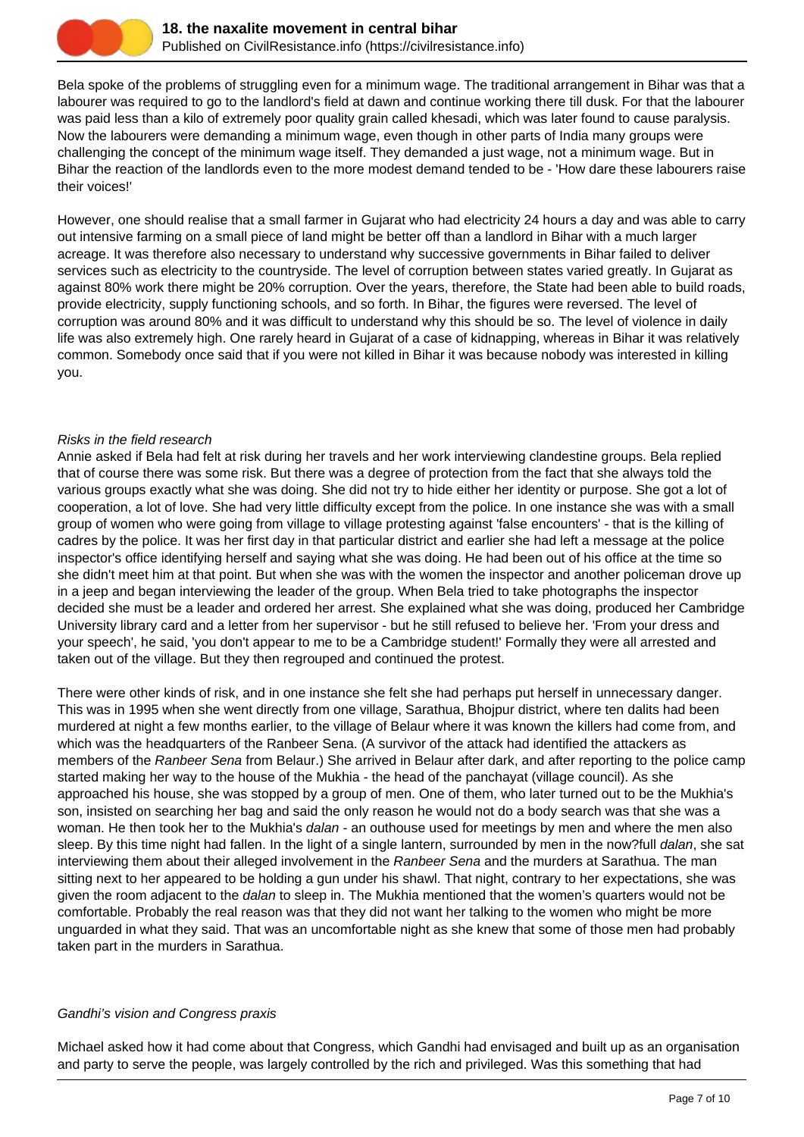

Bela spoke of the problems of struggling even for a minimum wage. The traditional arrangement in Bihar was that a labourer was required to go to the landlord's field at dawn and continue working there till dusk. For that the labourer was paid less than a kilo of extremely poor quality grain called khesadi, which was later found to cause paralysis. Now the labourers were demanding a minimum wage, even though in other parts of India many groups were challenging the concept of the minimum wage itself. They demanded a just wage, not a minimum wage. But in Bihar the reaction of the landlords even to the more modest demand tended to be - 'How dare these labourers raise their voices!'

However, one should realise that a small farmer in Gujarat who had electricity 24 hours a day and was able to carry out intensive farming on a small piece of land might be better off than a landlord in Bihar with a much larger acreage. It was therefore also necessary to understand why successive governments in Bihar failed to deliver services such as electricity to the countryside. The level of corruption between states varied greatly. In Gujarat as against 80% work there might be 20% corruption. Over the years, therefore, the State had been able to build roads, provide electricity, supply functioning schools, and so forth. In Bihar, the figures were reversed. The level of corruption was around 80% and it was difficult to understand why this should be so. The level of violence in daily life was also extremely high. One rarely heard in Gujarat of a case of kidnapping, whereas in Bihar it was relatively common. Somebody once said that if you were not killed in Bihar it was because nobody was interested in killing you.

#### Risks in the field research

Annie asked if Bela had felt at risk during her travels and her work interviewing clandestine groups. Bela replied that of course there was some risk. But there was a degree of protection from the fact that she always told the various groups exactly what she was doing. She did not try to hide either her identity or purpose. She got a lot of cooperation, a lot of love. She had very little difficulty except from the police. In one instance she was with a small group of women who were going from village to village protesting against 'false encounters' - that is the killing of cadres by the police. It was her first day in that particular district and earlier she had left a message at the police inspector's office identifying herself and saying what she was doing. He had been out of his office at the time so she didn't meet him at that point. But when she was with the women the inspector and another policeman drove up in a jeep and began interviewing the leader of the group. When Bela tried to take photographs the inspector decided she must be a leader and ordered her arrest. She explained what she was doing, produced her Cambridge University library card and a letter from her supervisor - but he still refused to believe her. 'From your dress and your speech', he said, 'you don't appear to me to be a Cambridge student!' Formally they were all arrested and taken out of the village. But they then regrouped and continued the protest.

There were other kinds of risk, and in one instance she felt she had perhaps put herself in unnecessary danger. This was in 1995 when she went directly from one village, Sarathua, Bhojpur district, where ten dalits had been murdered at night a few months earlier, to the village of Belaur where it was known the killers had come from, and which was the headquarters of the Ranbeer Sena. (A survivor of the attack had identified the attackers as members of the Ranbeer Sena from Belaur.) She arrived in Belaur after dark, and after reporting to the police camp started making her way to the house of the Mukhia - the head of the panchayat (village council). As she approached his house, she was stopped by a group of men. One of them, who later turned out to be the Mukhia's son, insisted on searching her bag and said the only reason he would not do a body search was that she was a woman. He then took her to the Mukhia's *dalan* - an outhouse used for meetings by men and where the men also sleep. By this time night had fallen. In the light of a single lantern, surrounded by men in the now?full *dalan*, she sat interviewing them about their alleged involvement in the Ranbeer Sena and the murders at Sarathua. The man sitting next to her appeared to be holding a gun under his shawl. That night, contrary to her expectations, she was given the room adjacent to the *dalan* to sleep in. The Mukhia mentioned that the women's quarters would not be comfortable. Probably the real reason was that they did not want her talking to the women who might be more unguarded in what they said. That was an uncomfortable night as she knew that some of those men had probably taken part in the murders in Sarathua.

## Gandhi's vision and Congress praxis

Michael asked how it had come about that Congress, which Gandhi had envisaged and built up as an organisation and party to serve the people, was largely controlled by the rich and privileged. Was this something that had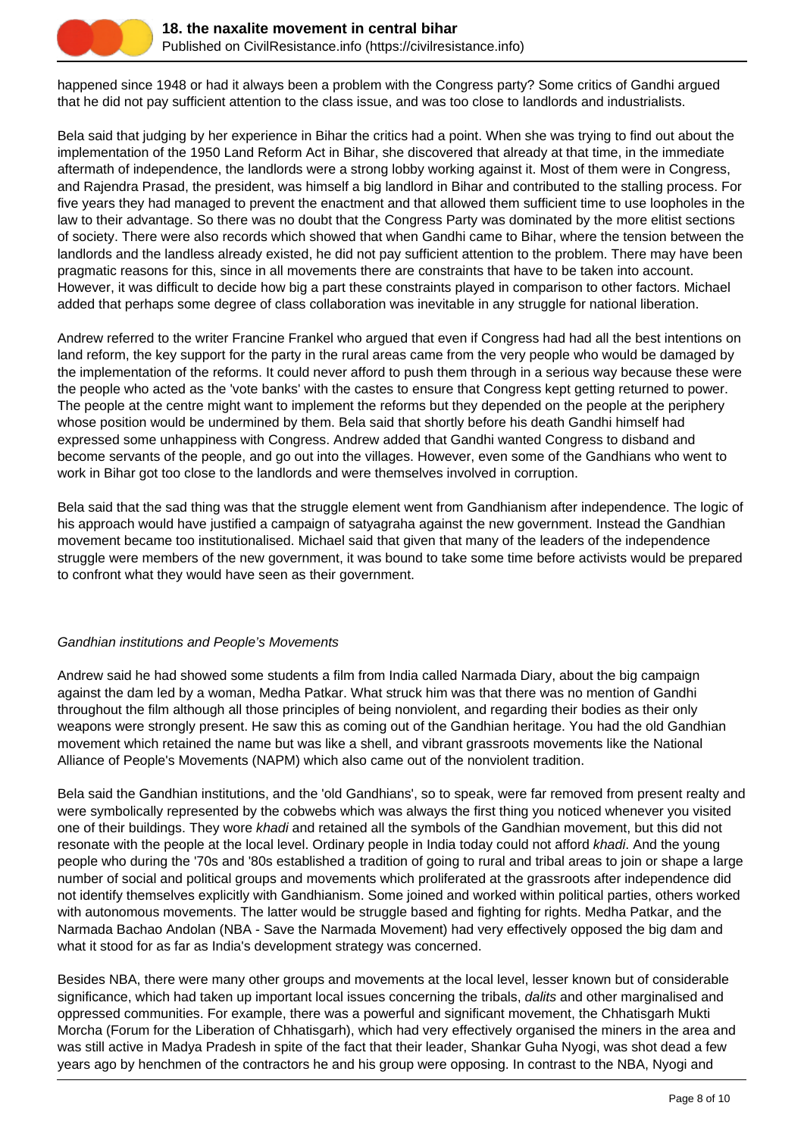

happened since 1948 or had it always been a problem with the Congress party? Some critics of Gandhi argued that he did not pay sufficient attention to the class issue, and was too close to landlords and industrialists.

Bela said that judging by her experience in Bihar the critics had a point. When she was trying to find out about the implementation of the 1950 Land Reform Act in Bihar, she discovered that already at that time, in the immediate aftermath of independence, the landlords were a strong lobby working against it. Most of them were in Congress, and Rajendra Prasad, the president, was himself a big landlord in Bihar and contributed to the stalling process. For five years they had managed to prevent the enactment and that allowed them sufficient time to use loopholes in the law to their advantage. So there was no doubt that the Congress Party was dominated by the more elitist sections of society. There were also records which showed that when Gandhi came to Bihar, where the tension between the landlords and the landless already existed, he did not pay sufficient attention to the problem. There may have been pragmatic reasons for this, since in all movements there are constraints that have to be taken into account. However, it was difficult to decide how big a part these constraints played in comparison to other factors. Michael added that perhaps some degree of class collaboration was inevitable in any struggle for national liberation.

Andrew referred to the writer Francine Frankel who argued that even if Congress had had all the best intentions on land reform, the key support for the party in the rural areas came from the very people who would be damaged by the implementation of the reforms. It could never afford to push them through in a serious way because these were the people who acted as the 'vote banks' with the castes to ensure that Congress kept getting returned to power. The people at the centre might want to implement the reforms but they depended on the people at the periphery whose position would be undermined by them. Bela said that shortly before his death Gandhi himself had expressed some unhappiness with Congress. Andrew added that Gandhi wanted Congress to disband and become servants of the people, and go out into the villages. However, even some of the Gandhians who went to work in Bihar got too close to the landlords and were themselves involved in corruption.

Bela said that the sad thing was that the struggle element went from Gandhianism after independence. The logic of his approach would have justified a campaign of satyagraha against the new government. Instead the Gandhian movement became too institutionalised. Michael said that given that many of the leaders of the independence struggle were members of the new government, it was bound to take some time before activists would be prepared to confront what they would have seen as their government.

## Gandhian institutions and People's Movements

Andrew said he had showed some students a film from India called Narmada Diary, about the big campaign against the dam led by a woman, Medha Patkar. What struck him was that there was no mention of Gandhi throughout the film although all those principles of being nonviolent, and regarding their bodies as their only weapons were strongly present. He saw this as coming out of the Gandhian heritage. You had the old Gandhian movement which retained the name but was like a shell, and vibrant grassroots movements like the National Alliance of People's Movements (NAPM) which also came out of the nonviolent tradition.

Bela said the Gandhian institutions, and the 'old Gandhians', so to speak, were far removed from present realty and were symbolically represented by the cobwebs which was always the first thing you noticed whenever you visited one of their buildings. They wore khadi and retained all the symbols of the Gandhian movement, but this did not resonate with the people at the local level. Ordinary people in India today could not afford khadi. And the young people who during the '70s and '80s established a tradition of going to rural and tribal areas to join or shape a large number of social and political groups and movements which proliferated at the grassroots after independence did not identify themselves explicitly with Gandhianism. Some joined and worked within political parties, others worked with autonomous movements. The latter would be struggle based and fighting for rights. Medha Patkar, and the Narmada Bachao Andolan (NBA - Save the Narmada Movement) had very effectively opposed the big dam and what it stood for as far as India's development strategy was concerned.

Besides NBA, there were many other groups and movements at the local level, lesser known but of considerable significance, which had taken up important local issues concerning the tribals, *dalits* and other marginalised and oppressed communities. For example, there was a powerful and significant movement, the Chhatisgarh Mukti Morcha (Forum for the Liberation of Chhatisgarh), which had very effectively organised the miners in the area and was still active in Madya Pradesh in spite of the fact that their leader, Shankar Guha Nyogi, was shot dead a few years ago by henchmen of the contractors he and his group were opposing. In contrast to the NBA, Nyogi and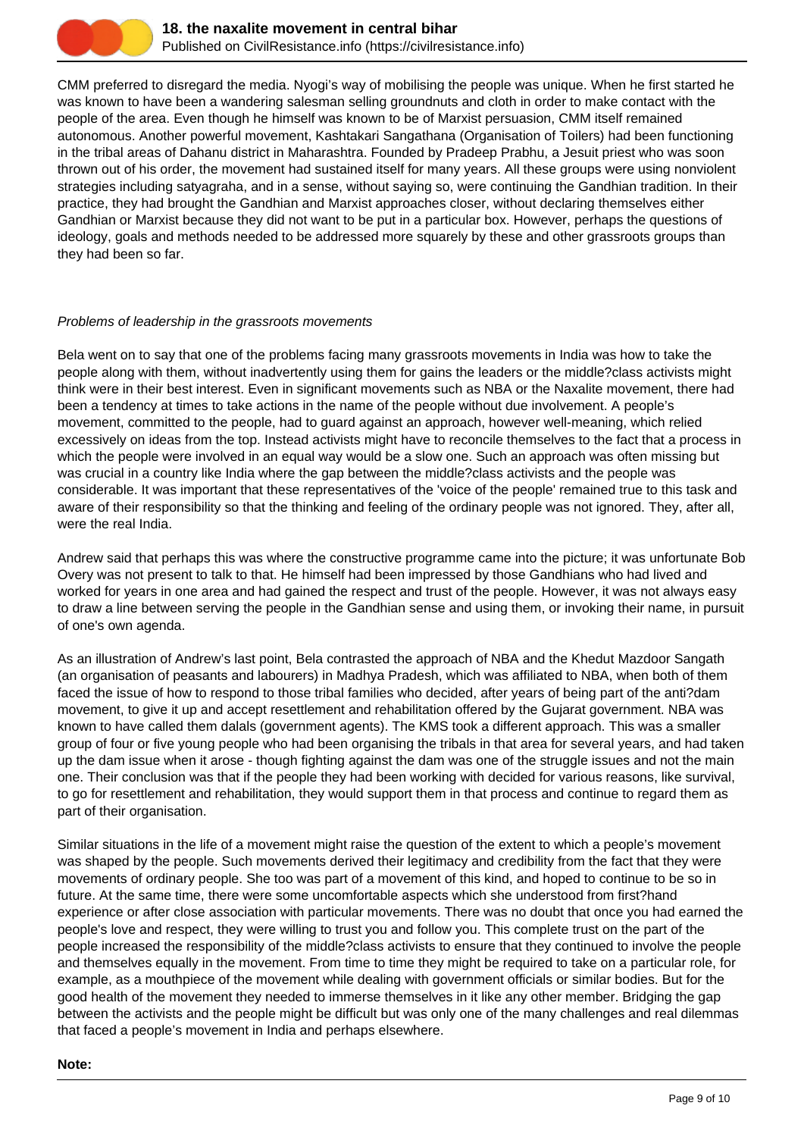

CMM preferred to disregard the media. Nyogi's way of mobilising the people was unique. When he first started he was known to have been a wandering salesman selling groundnuts and cloth in order to make contact with the people of the area. Even though he himself was known to be of Marxist persuasion, CMM itself remained autonomous. Another powerful movement, Kashtakari Sangathana (Organisation of Toilers) had been functioning in the tribal areas of Dahanu district in Maharashtra. Founded by Pradeep Prabhu, a Jesuit priest who was soon thrown out of his order, the movement had sustained itself for many years. All these groups were using nonviolent strategies including satyagraha, and in a sense, without saying so, were continuing the Gandhian tradition. In their practice, they had brought the Gandhian and Marxist approaches closer, without declaring themselves either Gandhian or Marxist because they did not want to be put in a particular box. However, perhaps the questions of ideology, goals and methods needed to be addressed more squarely by these and other grassroots groups than they had been so far.

## Problems of leadership in the grassroots movements

Bela went on to say that one of the problems facing many grassroots movements in India was how to take the people along with them, without inadvertently using them for gains the leaders or the middle?class activists might think were in their best interest. Even in significant movements such as NBA or the Naxalite movement, there had been a tendency at times to take actions in the name of the people without due involvement. A people's movement, committed to the people, had to guard against an approach, however well-meaning, which relied excessively on ideas from the top. Instead activists might have to reconcile themselves to the fact that a process in which the people were involved in an equal way would be a slow one. Such an approach was often missing but was crucial in a country like India where the gap between the middle?class activists and the people was considerable. It was important that these representatives of the 'voice of the people' remained true to this task and aware of their responsibility so that the thinking and feeling of the ordinary people was not ignored. They, after all, were the real India.

Andrew said that perhaps this was where the constructive programme came into the picture; it was unfortunate Bob Overy was not present to talk to that. He himself had been impressed by those Gandhians who had lived and worked for years in one area and had gained the respect and trust of the people. However, it was not always easy to draw a line between serving the people in the Gandhian sense and using them, or invoking their name, in pursuit of one's own agenda.

As an illustration of Andrew's last point, Bela contrasted the approach of NBA and the Khedut Mazdoor Sangath (an organisation of peasants and labourers) in Madhya Pradesh, which was affiliated to NBA, when both of them faced the issue of how to respond to those tribal families who decided, after years of being part of the anti?dam movement, to give it up and accept resettlement and rehabilitation offered by the Gujarat government. NBA was known to have called them dalals (government agents). The KMS took a different approach. This was a smaller group of four or five young people who had been organising the tribals in that area for several years, and had taken up the dam issue when it arose - though fighting against the dam was one of the struggle issues and not the main one. Their conclusion was that if the people they had been working with decided for various reasons, like survival, to go for resettlement and rehabilitation, they would support them in that process and continue to regard them as part of their organisation.

Similar situations in the life of a movement might raise the question of the extent to which a people's movement was shaped by the people. Such movements derived their legitimacy and credibility from the fact that they were movements of ordinary people. She too was part of a movement of this kind, and hoped to continue to be so in future. At the same time, there were some uncomfortable aspects which she understood from first?hand experience or after close association with particular movements. There was no doubt that once you had earned the people's love and respect, they were willing to trust you and follow you. This complete trust on the part of the people increased the responsibility of the middle?class activists to ensure that they continued to involve the people and themselves equally in the movement. From time to time they might be required to take on a particular role, for example, as a mouthpiece of the movement while dealing with government officials or similar bodies. But for the good health of the movement they needed to immerse themselves in it like any other member. Bridging the gap between the activists and the people might be difficult but was only one of the many challenges and real dilemmas that faced a people's movement in India and perhaps elsewhere.